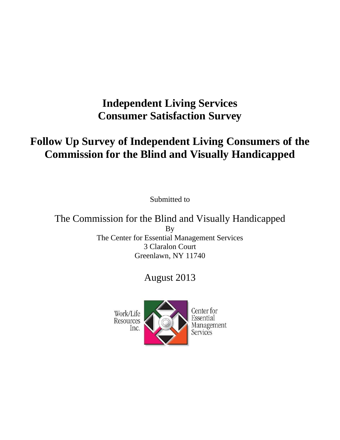# **Independent Living Services Consumer Satisfaction Survey**

# **Follow Up Survey of Independent Living Consumers of the Commission for the Blind and Visually Handicapped**

Submitted to

The Commission for the Blind and Visually Handicapped By The Center for Essential Management Services 3 Claralon Court Greenlawn, NY 11740

## August 2013



Center for Essential Management Services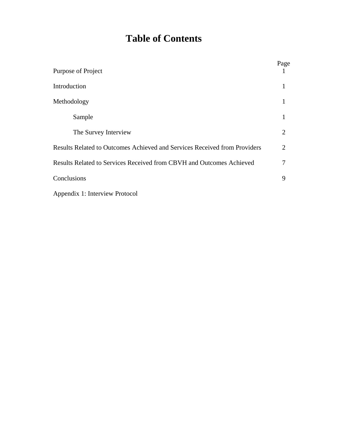# **Table of Contents**

| Purpose of Project                                                        | Page           |
|---------------------------------------------------------------------------|----------------|
| Introduction                                                              | 1              |
| Methodology                                                               | 1              |
| Sample                                                                    | 1              |
| The Survey Interview                                                      | $\overline{2}$ |
| Results Related to Outcomes Achieved and Services Received from Providers | 2              |
| Results Related to Services Received from CBVH and Outcomes Achieved      | 7              |
| Conclusions                                                               | 9              |
| Appendix 1: Interview Protocol                                            |                |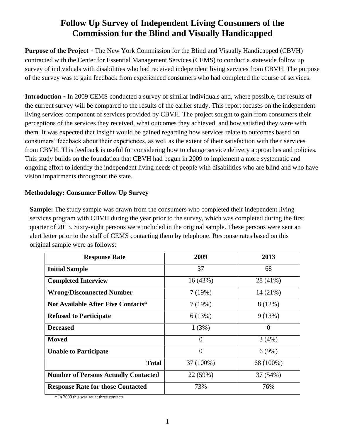## **Follow Up Survey of Independent Living Consumers of the Commission for the Blind and Visually Handicapped**

**Purpose of the Project -** The New York Commission for the Blind and Visually Handicapped (CBVH) contracted with the Center for Essential Management Services (CEMS) to conduct a statewide follow up survey of individuals with disabilities who had received independent living services from CBVH. The purpose of the survey was to gain feedback from experienced consumers who had completed the course of services.

**Introduction -** In 2009 CEMS conducted a survey of similar individuals and, where possible, the results of the current survey will be compared to the results of the earlier study. This report focuses on the independent living services component of services provided by CBVH. The project sought to gain from consumers their perceptions of the services they received, what outcomes they achieved, and how satisfied they were with them. It was expected that insight would be gained regarding how services relate to outcomes based on consumers' feedback about their experiences, as well as the extent of their satisfaction with their services from CBVH. This feedback is useful for considering how to change service delivery approaches and policies. This study builds on the foundation that CBVH had begun in 2009 to implement a more systematic and ongoing effort to identify the independent living needs of people with disabilities who are blind and who have vision impairments throughout the state.

#### **Methodology: Consumer Follow Up Survey**

**Sample:** The study sample was drawn from the consumers who completed their independent living services program with CBVH during the year prior to the survey, which was completed during the first quarter of 2013. Sixty-eight persons were included in the original sample. These persons were sent an alert letter prior to the staff of CEMS contacting them by telephone. Response rates based on this original sample were as follows:

| <b>Response Rate</b>                        | 2009      | 2013      |
|---------------------------------------------|-----------|-----------|
| <b>Initial Sample</b>                       | 37        | 68        |
| <b>Completed Interview</b>                  | 16(43%)   | 28 (41%)  |
| <b>Wrong/Disconnected Number</b>            | 7(19%)    | 14 (21%)  |
| <b>Not Available After Five Contacts*</b>   | 7(19%)    | 8(12%)    |
| <b>Refused to Participate</b>               | 6(13%)    | 9(13%)    |
| <b>Deceased</b>                             | 1(3%)     | 0         |
| <b>Moved</b>                                | $\theta$  | 3(4%)     |
| <b>Unable to Participate</b>                | $\theta$  | 6(9%)     |
| <b>Total</b>                                | 37 (100%) | 68 (100%) |
| <b>Number of Persons Actually Contacted</b> | 22 (59%)  | 37 (54%)  |
| <b>Response Rate for those Contacted</b>    | 73%       | 76%       |

\* In 2009 this was set at three contacts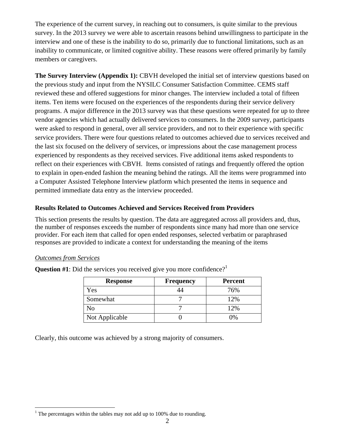The experience of the current survey, in reaching out to consumers, is quite similar to the previous survey. In the 2013 survey we were able to ascertain reasons behind unwillingness to participate in the interview and one of these is the inability to do so, primarily due to functional limitations, such as an inability to communicate, or limited cognitive ability. These reasons were offered primarily by family members or caregivers.

**The Survey Interview (Appendix 1):** CBVH developed the initial set of interview questions based on the previous study and input from the NYSILC Consumer Satisfaction Committee. CEMS staff reviewed these and offered suggestions for minor changes. The interview included a total of fifteen items. Ten items were focused on the experiences of the respondents during their service delivery programs. A major difference in the 2013 survey was that these questions were repeated for up to three vendor agencies which had actually delivered services to consumers. In the 2009 survey, participants were asked to respond in general, over all service providers, and not to their experience with specific service providers. There were four questions related to outcomes achieved due to services received and the last six focused on the delivery of services, or impressions about the case management process experienced by respondents as they received services. Five additional items asked respondents to reflect on their experiences with CBVH. Items consisted of ratings and frequently offered the option to explain in open-ended fashion the meaning behind the ratings. All the items were programmed into a Computer Assisted Telephone Interview platform which presented the items in sequence and permitted immediate data entry as the interview proceeded.

#### **Results Related to Outcomes Achieved and Services Received from Providers**

This section presents the results by question. The data are aggregated across all providers and, thus, the number of responses exceeds the number of respondents since many had more than one service provider. For each item that called for open ended responses, selected verbatim or paraphrased responses are provided to indicate a context for understanding the meaning of the items

#### *Outcomes from Services*

 $\overline{a}$ 

| <b>Response</b> | <b>Frequency</b> | <b>Percent</b> |
|-----------------|------------------|----------------|
| Yes             |                  | 76%            |
| Somewhat        |                  | 12%            |
| No              |                  | 12%            |
| Not Applicable  |                  | በ%             |

**Question #1**: Did the services you received give you more confidence?<sup>1</sup>

Clearly, this outcome was achieved by a strong majority of consumers.

 $1$ <sup>1</sup> The percentages within the tables may not add up to 100% due to rounding.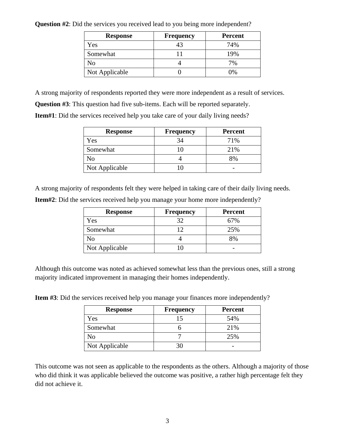| <b>Response</b> | <b>Frequency</b> | <b>Percent</b> |
|-----------------|------------------|----------------|
| Yes             | 43               | 74%            |
| Somewhat        |                  | 19%            |
| No              |                  | 7%             |
| Not Applicable  |                  | በ%             |

**Question #2**: Did the services you received lead to you being more independent?

A strong majority of respondents reported they were more independent as a result of services.

**Question #3**: This question had five sub-items. Each will be reported separately.

**Item#1**: Did the services received help you take care of your daily living needs?

| <b>Response</b> | <b>Frequency</b> | <b>Percent</b> |
|-----------------|------------------|----------------|
| Yes             | 34               | 71%            |
| Somewhat        | 10               | 21%            |
| No              |                  | 8%             |
| Not Applicable  |                  |                |

A strong majority of respondents felt they were helped in taking care of their daily living needs.

|  |  | Item#2: Did the services received help you manage your home more independently? |  |  |
|--|--|---------------------------------------------------------------------------------|--|--|
|  |  |                                                                                 |  |  |

| <b>Response</b> | <b>Frequency</b> | <b>Percent</b> |
|-----------------|------------------|----------------|
| Yes             | 32               | 67%            |
| Somewhat        |                  | 25%            |
| No              |                  | 8%             |
| Not Applicable  |                  |                |

Although this outcome was noted as achieved somewhat less than the previous ones, still a strong majority indicated improvement in managing their homes independently.

**Item #3**: Did the services received help you manage your finances more independently?

| <b>Response</b> | <b>Frequency</b> | <b>Percent</b> |
|-----------------|------------------|----------------|
| Yes             | 15               | 54%            |
| Somewhat        |                  | 21%            |
| No              |                  | 25%            |
| Not Applicable  | 30               |                |

This outcome was not seen as applicable to the respondents as the others. Although a majority of those who did think it was applicable believed the outcome was positive, a rather high percentage felt they did not achieve it.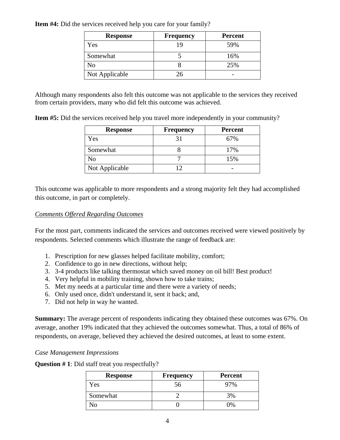| <b>Response</b> | <b>Frequency</b> | <b>Percent</b> |
|-----------------|------------------|----------------|
| Yes             | 19               | 59%            |
| Somewhat        |                  | 16%            |
| N <sub>o</sub>  |                  | 25%            |
| Not Applicable  | 26               |                |

**Item #4:** Did the services received help you care for your family?

Although many respondents also felt this outcome was not applicable to the services they received from certain providers, many who did felt this outcome was achieved.

**Item #5:** Did the services received help you travel more independently in your community?

| <b>Response</b> | <b>Frequency</b> | <b>Percent</b> |
|-----------------|------------------|----------------|
| Yes             | 31               | 67%            |
| Somewhat        |                  | 17%            |
| No              |                  | 15%            |
| Not Applicable  |                  |                |

This outcome was applicable to more respondents and a strong majority felt they had accomplished this outcome, in part or completely.

#### *Comments Offered Regarding Outcomes*

For the most part, comments indicated the services and outcomes received were viewed positively by respondents. Selected comments which illustrate the range of feedback are:

- 1. Prescription for new glasses helped facilitate mobility, comfort;
- 2. Confidence to go in new directions, without help;
- 3. 3-4 products like talking thermostat which saved money on oil bill! Best product!
- 4. Very helpful in mobility training, shown how to take trains;
- 5. Met my needs at a particular time and there were a variety of needs;
- 6. Only used once, didn't understand it, sent it back; and,
- 7. Did not help in way he wanted.

**Summary:** The average percent of respondents indicating they obtained these outcomes was 67%. On average, another 19% indicated that they achieved the outcomes somewhat. Thus, a total of 86% of respondents, on average, believed they achieved the desired outcomes, at least to some extent.

#### *Case Management Impressions*

**Question # 1**: Did staff treat you respectfully?

| <b>Response</b> | <b>Frequency</b> | <b>Percent</b> |
|-----------------|------------------|----------------|
| Yes             | ാറ               | 97%            |
| Somewhat        |                  | 3%             |
|                 |                  | ገ‰             |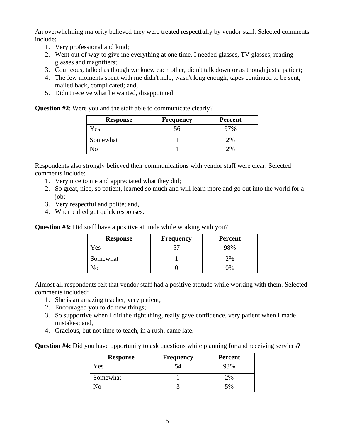An overwhelming majority believed they were treated respectfully by vendor staff. Selected comments include:

- 1. Very professional and kind;
- 2. Went out of way to give me everything at one time. I needed glasses, TV glasses, reading glasses and magnifiers;
- 3. Courteous, talked as though we knew each other, didn't talk down or as though just a patient;
- 4. The few moments spent with me didn't help, wasn't long enough; tapes continued to be sent, mailed back, complicated; and,
- 5. Didn't receive what he wanted, disappointed.

**Question #2**: Were you and the staff able to communicate clearly?

| <b>Response</b> | <b>Frequency</b> | <b>Percent</b> |
|-----------------|------------------|----------------|
| Yes             |                  | 7%             |
| Somewhat        |                  | 2%             |
|                 |                  | 2%             |

Respondents also strongly believed their communications with vendor staff were clear. Selected comments include:

- 1. Very nice to me and appreciated what they did;
- 2. So great, nice, so patient, learned so much and will learn more and go out into the world for a job;
- 3. Very respectful and polite; and,
- 4. When called got quick responses.

**Question #3:** Did staff have a positive attitude while working with you?

| <b>Response</b> | <b>Frequency</b> | <b>Percent</b> |
|-----------------|------------------|----------------|
| Yes             |                  | 98%            |
| Somewhat        |                  | 2%             |
|                 |                  | 0/             |

Almost all respondents felt that vendor staff had a positive attitude while working with them. Selected comments included:

- 1. She is an amazing teacher, very patient;
- 2. Encouraged you to do new things;
- 3. So supportive when I did the right thing, really gave confidence, very patient when I made mistakes; and,
- 4. Gracious, but not time to teach, in a rush, came late.

**Question #4:** Did you have opportunity to ask questions while planning for and receiving services?

| <b>Response</b> | <b>Frequency</b> | Percent |
|-----------------|------------------|---------|
| Yes             |                  |         |
| Somewhat        |                  | 2%      |
|                 |                  | 5%      |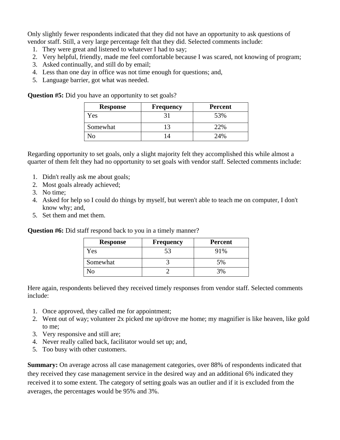Only slightly fewer respondents indicated that they did not have an opportunity to ask questions of vendor staff. Still, a very large percentage felt that they did. Selected comments include:

- 1. They were great and listened to whatever I had to say;
- 2. Very helpful, friendly, made me feel comfortable because I was scared, not knowing of program;
- 3. Asked continually, and still do by email;
- 4. Less than one day in office was not time enough for questions; and,
- 5. Language barrier, got what was needed.

**Question #5:** Did you have an opportunity to set goals?

| <b>Response</b> | <b>Frequency</b> | <b>Percent</b> |
|-----------------|------------------|----------------|
| Yes             |                  | 53%            |
| Somewhat        |                  | 22%            |
| JΛ              |                  | 24%            |

Regarding opportunity to set goals, only a slight majority felt they accomplished this while almost a quarter of them felt they had no opportunity to set goals with vendor staff. Selected comments include:

- 1. Didn't really ask me about goals;
- 2. Most goals already achieved;
- 3. No time;
- 4. Asked for help so I could do things by myself, but weren't able to teach me on computer, I don't know why; and,
- 5. Set them and met them.

**Question #6:** Did staff respond back to you in a timely manner?

| <b>Response</b> | <b>Frequency</b> | <b>Percent</b> |
|-----------------|------------------|----------------|
| Y es            |                  | 91%            |
| Somewhat        |                  | 5%             |
| חו              |                  |                |

Here again, respondents believed they received timely responses from vendor staff. Selected comments include:

- 1. Once approved, they called me for appointment;
- 2. Went out of way; volunteer 2x picked me up/drove me home; my magnifier is like heaven, like gold to me;
- 3. Very responsive and still are;
- 4. Never really called back, facilitator would set up; and,
- 5. Too busy with other customers.

**Summary:** On average across all case management categories, over 88% of respondents indicated that they received they case management service in the desired way and an additional 6% indicated they received it to some extent. The category of setting goals was an outlier and if it is excluded from the averages, the percentages would be 95% and 3%.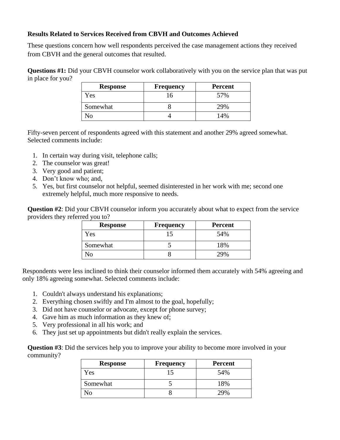#### **Results Related to Services Received from CBVH and Outcomes Achieved**

These questions concern how well respondents perceived the case management actions they received from CBVH and the general outcomes that resulted.

**Questions #1:** Did your CBVH counselor work collaboratively with you on the service plan that was put in place for you?

| <b>Response</b> | <b>Frequency</b> | <b>Percent</b> |
|-----------------|------------------|----------------|
| Yes             | 16               | 57%            |
| Somewhat        |                  | 29%            |
| Ν٥              |                  | 14%            |

Fifty-seven percent of respondents agreed with this statement and another 29% agreed somewhat. Selected comments include:

- 1. In certain way during visit, telephone calls;
- 2. The counselor was great!
- 3. Very good and patient;
- 4. Don't know who; and,
- 5. Yes, but first counselor not helpful, seemed disinterested in her work with me; second one extremely helpful, much more responsive to needs.

**Question #2**: Did your CBVH counselor inform you accurately about what to expect from the service providers they referred you to?

| <b>Response</b> | <b>Frequency</b> | <b>Percent</b> |
|-----------------|------------------|----------------|
| Y es            |                  | 54%            |
| Somewhat        |                  | 18%            |
|                 |                  | 29%            |

Respondents were less inclined to think their counselor informed them accurately with 54% agreeing and only 18% agreeing somewhat. Selected comments include:

- 1. Couldn't always understand his explanations;
- 2. Everything chosen swiftly and I'm almost to the goal, hopefully;
- 3. Did not have counselor or advocate, except for phone survey;
- 4. Gave him as much information as they knew of;
- 5. Very professional in all his work; and
- 6. They just set up appointments but didn't really explain the services.

**Question #3**: Did the services help you to improve your ability to become more involved in your community?

| <b>Response</b> | <b>Frequency</b> | <b>Percent</b> |
|-----------------|------------------|----------------|
| Yes             |                  | 54%            |
| Somewhat        |                  | 18%            |
|                 |                  | 29%            |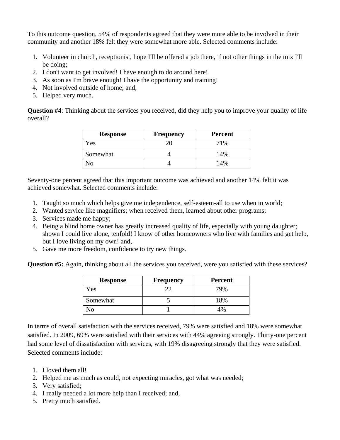To this outcome question, 54% of respondents agreed that they were more able to be involved in their community and another 18% felt they were somewhat more able. Selected comments include:

- 1. Volunteer in church, receptionist, hope I'll be offered a job there, if not other things in the mix I'll be doing;
- 2. I don't want to get involved! I have enough to do around here!
- 3. As soon as I'm brave enough! I have the opportunity and training!
- 4. Not involved outside of home; and,
- 5. Helped very much.

**Question #4**: Thinking about the services you received, did they help you to improve your quality of life overall?

| <b>Response</b> | <b>Frequency</b> | <b>Percent</b> |
|-----------------|------------------|----------------|
| Yes             | 20 <sub>1</sub>  | 71%            |
| Somewhat        |                  | 14%            |
| งก              |                  | 14%            |

Seventy-one percent agreed that this important outcome was achieved and another 14% felt it was achieved somewhat. Selected comments include:

- 1. Taught so much which helps give me independence, self-esteem-all to use when in world;
- 2. Wanted service like magnifiers; when received them, learned about other programs;
- 3. Services made me happy;
- 4. Being a blind home owner has greatly increased quality of life, especially with young daughter; shown I could live alone, tenfold! I know of other homeowners who live with families and get help, but I love living on my own! and,
- 5. Gave me more freedom, confidence to try new things.

**Question #5:** Again, thinking about all the services you received, were you satisfied with these services?

| <b>Response</b> | <b>Frequency</b> | <b>Percent</b>  |
|-----------------|------------------|-----------------|
| Yes             |                  | 79%             |
| Somewhat        |                  | 18%             |
| ∩ו              |                  | 19 <sub>o</sub> |

In terms of overall satisfaction with the services received, 79% were satisfied and 18% were somewhat satisfied. In 2009, 69% were satisfied with their services with 44% agreeing strongly. Thirty-one percent had some level of dissatisfaction with services, with 19% disagreeing strongly that they were satisfied. Selected comments include:

- 1. I loved them all!
- 2. Helped me as much as could, not expecting miracles, got what was needed;
- 3. Very satisfied;
- 4. I really needed a lot more help than I received; and,
- 5. Pretty much satisfied.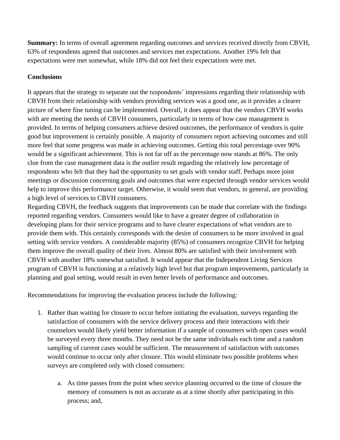**Summary:** In terms of overall agreement regarding outcomes and services received directly from CBVH, 63% of respondents agreed that outcomes and services met expectations. Another 19% felt that expectations were met somewhat, while 18% did not feel their expectations were met.

#### **Conclusions**

It appears that the strategy to separate out the respondents' impressions regarding their relationship with CBVH from their relationship with vendors providing services was a good one, as it provides a clearer picture of where fine tuning can be implemented. Overall, it does appear that the vendors CBVH works with are meeting the needs of CBVH consumers, particularly in terms of how case management is provided. In terms of helping consumers achieve desired outcomes, the performance of vendors is quite good but improvement is certainly possible. A majority of consumers report achieving outcomes and still more feel that some progress was made in achieving outcomes. Getting this total percentage over 90% would be a significant achievement. This is not far off as the percentage now stands at 86%. The only clue from the case management data is the outlier result regarding the relatively low percentage of respondents who felt that they had the opportunity to set goals with vendor staff. Perhaps more joint meetings or discussion concerning goals and outcomes that were expected through vendor services would help to improve this performance target. Otherwise, it would seem that vendors, in general, are providing a high level of services to CBVH consumers.

Regarding CBVH, the feedback suggests that improvements can be made that correlate with the findings reported regarding vendors. Consumers would like to have a greater degree of collaboration in developing plans for their service programs and to have clearer expectations of what vendors are to provide them with. This certainly corresponds with the desire of consumers to be more involved in goal setting with service vendors. A considerable majority (85%) of consumers recognize CBVH for helping them improve the overall quality of their lives. Almost 80% are satisfied with their involvement with CBVH with another 18% somewhat satisfied. It would appear that the Independent Living Services program of CBVH is functioning at a relatively high level but that program improvements, particularly in planning and goal setting, would result in even better levels of performance and outcomes.

Recommendations for improving the evaluation process include the following:

- 1. Rather than waiting for closure to occur before initiating the evaluation, surveys regarding the satisfaction of consumers with the service delivery process and their interactions with their counselors would likely yield better information if a sample of consumers with open cases would be surveyed every three months. They need not be the same individuals each time and a random sampling of current cases would be sufficient. The measurement of satisfaction with outcomes would continue to occur only after closure. This would eliminate two possible problems when surveys are completed only with closed consumers:
	- a. As time passes from the point when service planning occurred to the time of closure the memory of consumers is not as accurate as at a time shortly after participating in this process; and,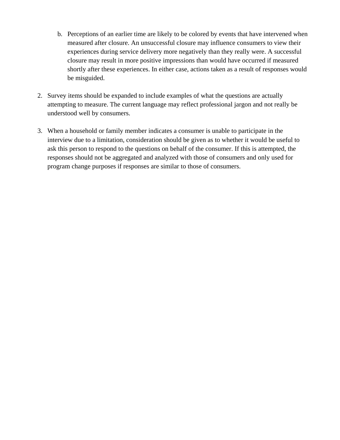- b. Perceptions of an earlier time are likely to be colored by events that have intervened when measured after closure. An unsuccessful closure may influence consumers to view their experiences during service delivery more negatively than they really were. A successful closure may result in more positive impressions than would have occurred if measured shortly after these experiences. In either case, actions taken as a result of responses would be misguided.
- 2. Survey items should be expanded to include examples of what the questions are actually attempting to measure. The current language may reflect professional jargon and not really be understood well by consumers.
- 3. When a household or family member indicates a consumer is unable to participate in the interview due to a limitation, consideration should be given as to whether it would be useful to ask this person to respond to the questions on behalf of the consumer. If this is attempted, the responses should not be aggregated and analyzed with those of consumers and only used for program change purposes if responses are similar to those of consumers.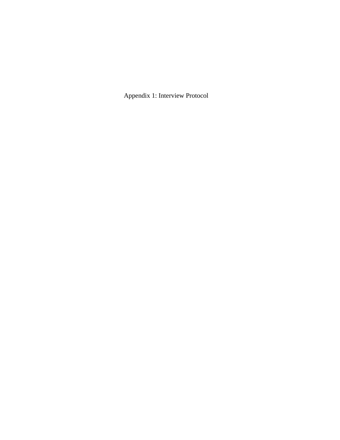Appendix 1: Interview Protocol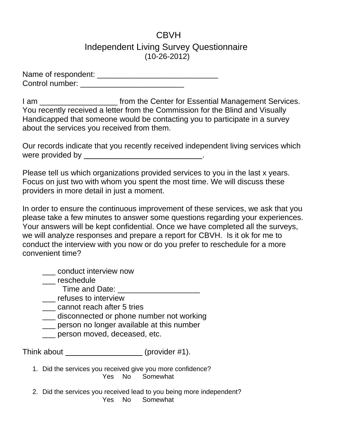## **CBVH** Independent Living Survey Questionnaire (10-26-2012)

Name of respondent: \_\_\_\_\_\_\_\_\_\_\_\_\_\_\_\_\_\_\_\_\_\_\_\_\_\_\_\_ Control number: \_\_\_\_\_\_\_\_\_\_\_\_\_\_\_\_\_\_\_\_\_\_\_\_

I am **I am Example 20** from the Center for Essential Management Services. You recently received a letter from the Commission for the Blind and Visually Handicapped that someone would be contacting you to participate in a survey about the services you received from them.

Our records indicate that you recently received independent living services which were provided by  $\qquad \qquad$ 

Please tell us which organizations provided services to you in the last x years. Focus on just two with whom you spent the most time. We will discuss these providers in more detail in just a moment.

In order to ensure the continuous improvement of these services, we ask that you please take a few minutes to answer some questions regarding your experiences. Your answers will be kept confidential. Once we have completed all the surveys, we will analyze responses and prepare a report for CBVH. Is it ok for me to conduct the interview with you now or do you prefer to reschedule for a more convenient time?

\_\_\_ conduct interview now

reschedule

Time and Date: \_\_\_\_\_\_\_\_\_\_\_\_\_\_\_\_\_\_\_

- \_\_\_ refuses to interview
- \_\_ cannot reach after 5 tries
- \_\_\_ disconnected or phone number not working
- \_\_\_ person no longer available at this number
- \_\_\_ person moved, deceased, etc.

Think about (provider #1).

- 1. Did the services you received give you more confidence? Yes No Somewhat
- 2. Did the services you received lead to you being more independent? Yes No Somewhat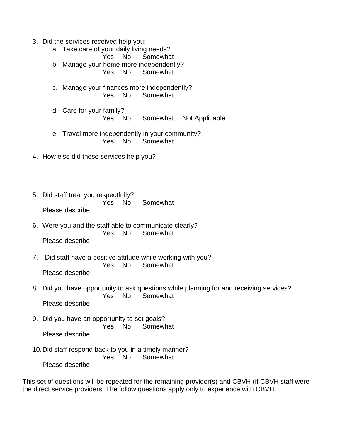- 3. Did the services received help you:
	- a. Take care of your daily living needs? Yes No Somewhat
	- b. Manage your home more independently?
		- Yes No Somewhat
	- c. Manage your finances more independently? Yes No Somewhat
	- d. Care for your family? Yes No Somewhat Not Applicable
	- e. Travel more independently in your community? Yes No Somewhat
- 4. How else did these services help you?
- 5. Did staff treat you respectfully? Yes No Somewhat Please describe
- 6. Were you and the staff able to communicate clearly? Yes No Somewhat Please describe
- 7. Did staff have a positive attitude while working with you? Yes No Somewhat Please describe
- 8. Did you have opportunity to ask questions while planning for and receiving services? Yes No Somewhat Please describe
- 9. Did you have an opportunity to set goals? Yes No Somewhat Please describe
- 10.Did staff respond back to you in a timely manner? Yes No Somewhat

Please describe

This set of questions will be repeated for the remaining provider(s) and CBVH (if CBVH staff were the direct service providers. The follow questions apply only to experience with CBVH.